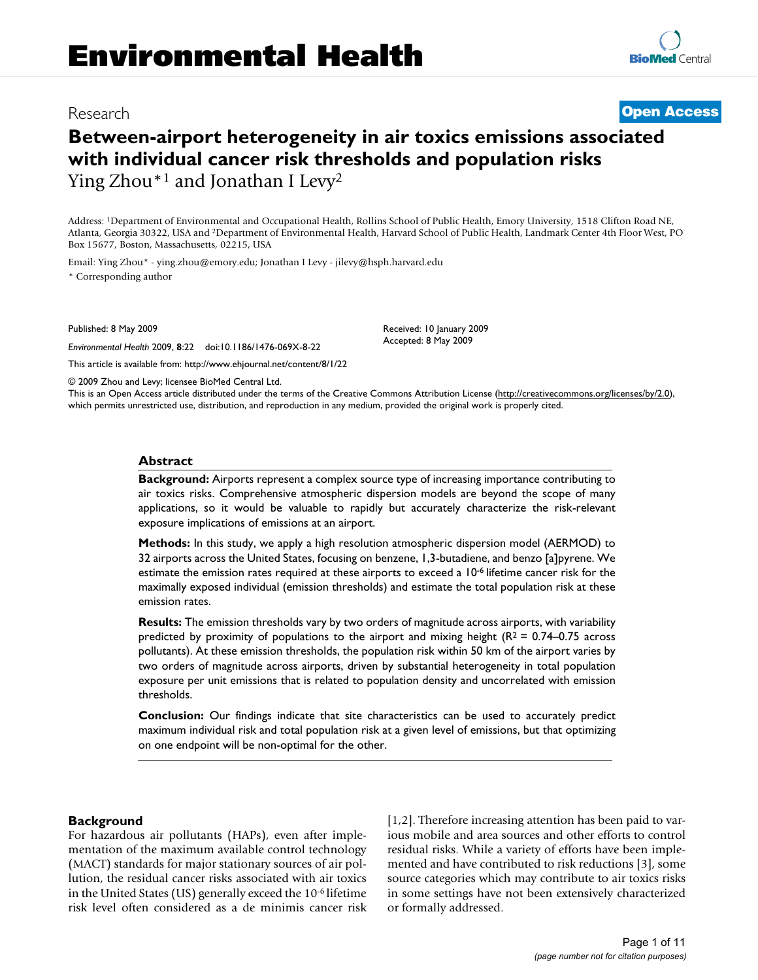# Research **[Open Access](http://www.biomedcentral.com/info/about/charter/)**

# **Between-airport heterogeneity in air toxics emissions associated with individual cancer risk thresholds and population risks** Ying Zhou\*<sup>1</sup> and Jonathan I Levy<sup>2</sup>

Address: 1Department of Environmental and Occupational Health, Rollins School of Public Health, Emory University, 1518 Clifton Road NE, Atlanta, Georgia 30322, USA and 2Department of Environmental Health, Harvard School of Public Health, Landmark Center 4th Floor West, PO Box 15677, Boston, Massachusetts, 02215, USA

Email: Ying Zhou\* - ying.zhou@emory.edu; Jonathan I Levy - jilevy@hsph.harvard.edu \* Corresponding author

Published: 8 May 2009

*Environmental Health* 2009, **8**:22 doi:10.1186/1476-069X-8-22

[This article is available from: http://www.ehjournal.net/content/8/1/22](http://www.ehjournal.net/content/8/1/22)

© 2009 Zhou and Levy; licensee BioMed Central Ltd.

This is an Open Access article distributed under the terms of the Creative Commons Attribution License [\(http://creativecommons.org/licenses/by/2.0\)](http://creativecommons.org/licenses/by/2.0), which permits unrestricted use, distribution, and reproduction in any medium, provided the original work is properly cited.

Received: 10 January 2009 Accepted: 8 May 2009

#### **Abstract**

**Background:** Airports represent a complex source type of increasing importance contributing to air toxics risks. Comprehensive atmospheric dispersion models are beyond the scope of many applications, so it would be valuable to rapidly but accurately characterize the risk-relevant exposure implications of emissions at an airport.

**Methods:** In this study, we apply a high resolution atmospheric dispersion model (AERMOD) to 32 airports across the United States, focusing on benzene, 1,3-butadiene, and benzo [a]pyrene. We estimate the emission rates required at these airports to exceed a 10-6 lifetime cancer risk for the maximally exposed individual (emission thresholds) and estimate the total population risk at these emission rates.

**Results:** The emission thresholds vary by two orders of magnitude across airports, with variability predicted by proximity of populations to the airport and mixing height ( $R^2 = 0.74$ –0.75 across pollutants). At these emission thresholds, the population risk within 50 km of the airport varies by two orders of magnitude across airports, driven by substantial heterogeneity in total population exposure per unit emissions that is related to population density and uncorrelated with emission thresholds.

**Conclusion:** Our findings indicate that site characteristics can be used to accurately predict maximum individual risk and total population risk at a given level of emissions, but that optimizing on one endpoint will be non-optimal for the other.

#### **Background**

For hazardous air pollutants (HAPs), even after implementation of the maximum available control technology (MACT) standards for major stationary sources of air pollution, the residual cancer risks associated with air toxics in the United States (US) generally exceed the 10-6 lifetime risk level often considered as a de minimis cancer risk [1,2]. Therefore increasing attention has been paid to various mobile and area sources and other efforts to control residual risks. While a variety of efforts have been implemented and have contributed to risk reductions [3], some source categories which may contribute to air toxics risks in some settings have not been extensively characterized or formally addressed.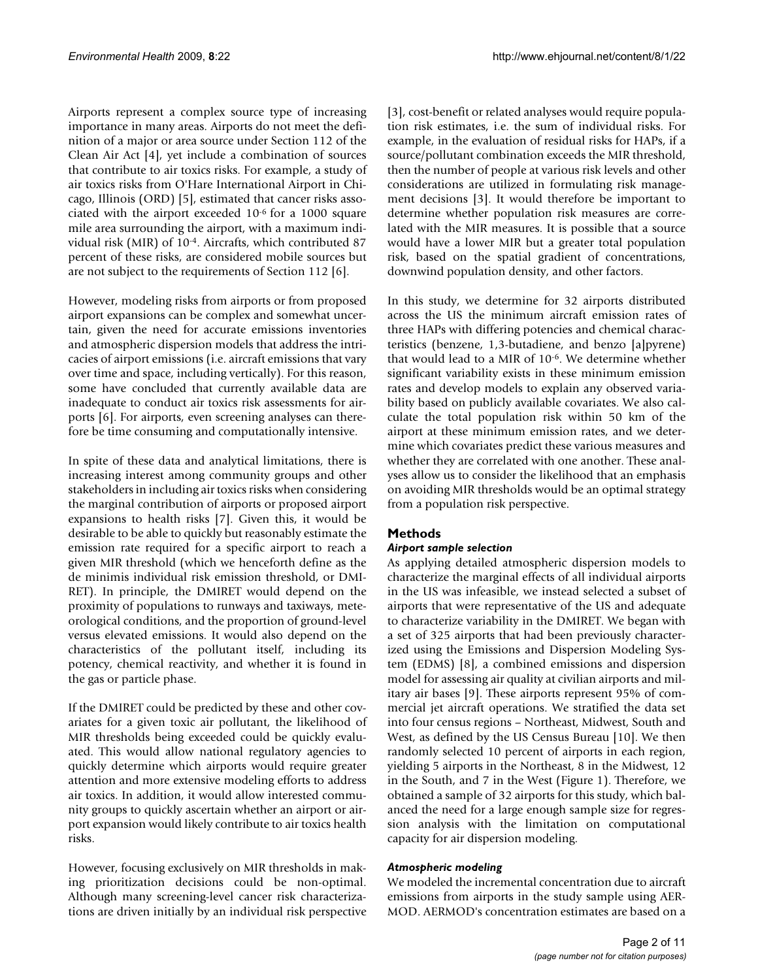Airports represent a complex source type of increasing importance in many areas. Airports do not meet the definition of a major or area source under Section 112 of the Clean Air Act [4], yet include a combination of sources that contribute to air toxics risks. For example, a study of air toxics risks from O'Hare International Airport in Chicago, Illinois (ORD) [5], estimated that cancer risks associated with the airport exceeded 10-6 for a 1000 square mile area surrounding the airport, with a maximum individual risk (MIR) of 10-4. Aircrafts, which contributed 87 percent of these risks, are considered mobile sources but are not subject to the requirements of Section 112 [6].

However, modeling risks from airports or from proposed airport expansions can be complex and somewhat uncertain, given the need for accurate emissions inventories and atmospheric dispersion models that address the intricacies of airport emissions (i.e. aircraft emissions that vary over time and space, including vertically). For this reason, some have concluded that currently available data are inadequate to conduct air toxics risk assessments for airports [6]. For airports, even screening analyses can therefore be time consuming and computationally intensive.

In spite of these data and analytical limitations, there is increasing interest among community groups and other stakeholders in including air toxics risks when considering the marginal contribution of airports or proposed airport expansions to health risks [7]. Given this, it would be desirable to be able to quickly but reasonably estimate the emission rate required for a specific airport to reach a given MIR threshold (which we henceforth define as the de minimis individual risk emission threshold, or DMI-RET). In principle, the DMIRET would depend on the proximity of populations to runways and taxiways, meteorological conditions, and the proportion of ground-level versus elevated emissions. It would also depend on the characteristics of the pollutant itself, including its potency, chemical reactivity, and whether it is found in the gas or particle phase.

If the DMIRET could be predicted by these and other covariates for a given toxic air pollutant, the likelihood of MIR thresholds being exceeded could be quickly evaluated. This would allow national regulatory agencies to quickly determine which airports would require greater attention and more extensive modeling efforts to address air toxics. In addition, it would allow interested community groups to quickly ascertain whether an airport or airport expansion would likely contribute to air toxics health risks.

However, focusing exclusively on MIR thresholds in making prioritization decisions could be non-optimal. Although many screening-level cancer risk characterizations are driven initially by an individual risk perspective [3], cost-benefit or related analyses would require population risk estimates, i.e. the sum of individual risks. For example, in the evaluation of residual risks for HAPs, if a source/pollutant combination exceeds the MIR threshold, then the number of people at various risk levels and other considerations are utilized in formulating risk management decisions [3]. It would therefore be important to determine whether population risk measures are correlated with the MIR measures. It is possible that a source would have a lower MIR but a greater total population risk, based on the spatial gradient of concentrations, downwind population density, and other factors.

In this study, we determine for 32 airports distributed across the US the minimum aircraft emission rates of three HAPs with differing potencies and chemical characteristics (benzene, 1,3-butadiene, and benzo [a]pyrene) that would lead to a MIR of 10-6. We determine whether significant variability exists in these minimum emission rates and develop models to explain any observed variability based on publicly available covariates. We also calculate the total population risk within 50 km of the airport at these minimum emission rates, and we determine which covariates predict these various measures and whether they are correlated with one another. These analyses allow us to consider the likelihood that an emphasis on avoiding MIR thresholds would be an optimal strategy from a population risk perspective.

# **Methods**

# *Airport sample selection*

As applying detailed atmospheric dispersion models to characterize the marginal effects of all individual airports in the US was infeasible, we instead selected a subset of airports that were representative of the US and adequate to characterize variability in the DMIRET. We began with a set of 325 airports that had been previously characterized using the Emissions and Dispersion Modeling System (EDMS) [8], a combined emissions and dispersion model for assessing air quality at civilian airports and military air bases [9]. These airports represent 95% of commercial jet aircraft operations. We stratified the data set into four census regions – Northeast, Midwest, South and West, as defined by the US Census Bureau [10]. We then randomly selected 10 percent of airports in each region, yielding 5 airports in the Northeast, 8 in the Midwest, 12 in the South, and 7 in the West (Figure 1). Therefore, we obtained a sample of 32 airports for this study, which balanced the need for a large enough sample size for regression analysis with the limitation on computational capacity for air dispersion modeling.

# *Atmospheric modeling*

We modeled the incremental concentration due to aircraft emissions from airports in the study sample using AER-MOD. AERMOD's concentration estimates are based on a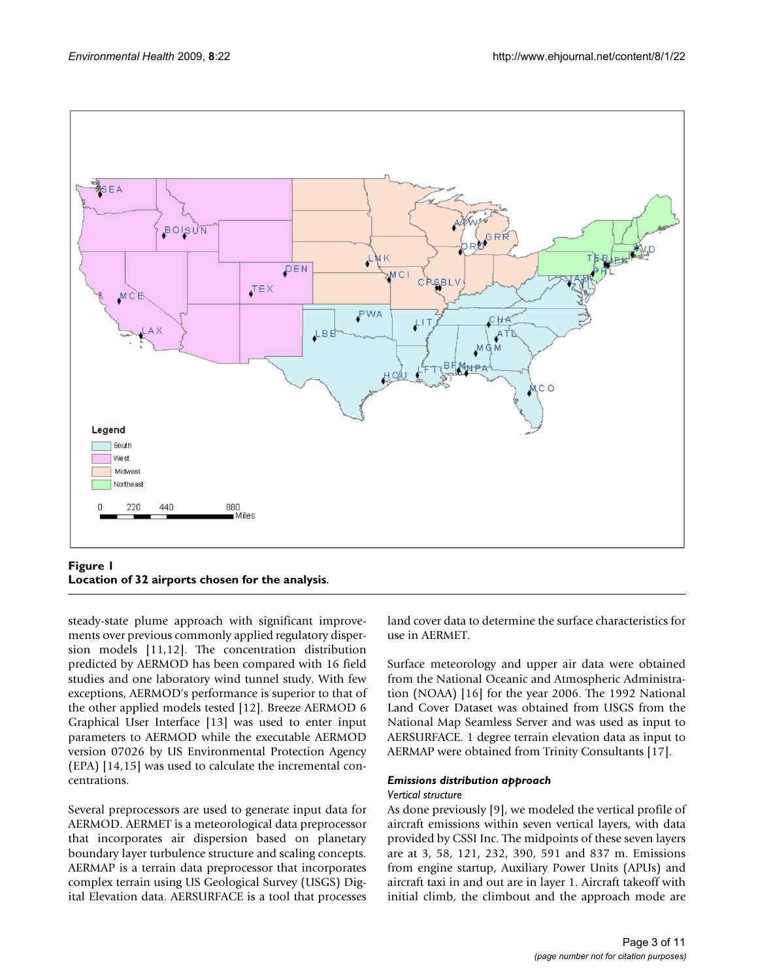

#### **Figure 1 Location of 32 airports chosen for the analysis**.

steady-state plume approach with significant improvements over previous commonly applied regulatory dispersion models [11,12]. The concentration distribution predicted by AERMOD has been compared with 16 field studies and one laboratory wind tunnel study. With few exceptions, AERMOD's performance is superior to that of the other applied models tested [12]. Breeze AERMOD 6 Graphical User Interface [13] was used to enter input parameters to AERMOD while the executable AERMOD version 07026 by US Environmental Protection Agency (EPA) [14,15] was used to calculate the incremental concentrations.

Several preprocessors are used to generate input data for AERMOD. AERMET is a meteorological data preprocessor that incorporates air dispersion based on planetary boundary layer turbulence structure and scaling concepts. AERMAP is a terrain data preprocessor that incorporates complex terrain using US Geological Survey (USGS) Digital Elevation data. AERSURFACE is a tool that processes land cover data to determine the surface characteristics for use in AERMET.

Surface meteorology and upper air data were obtained from the National Oceanic and Atmospheric Administration (NOAA) [16] for the year 2006. The 1992 National Land Cover Dataset was obtained from USGS from the National Map Seamless Server and was used as input to AERSURFACE. 1 degree terrain elevation data as input to AERMAP were obtained from Trinity Consultants [17].

#### *Emissions distribution approach*

#### *Vertical structure*

As done previously [9], we modeled the vertical profile of aircraft emissions within seven vertical layers, with data provided by CSSI Inc. The midpoints of these seven layers are at 3, 58, 121, 232, 390, 591 and 837 m. Emissions from engine startup, Auxiliary Power Units (APUs) and aircraft taxi in and out are in layer 1. Aircraft takeoff with initial climb, the climbout and the approach mode are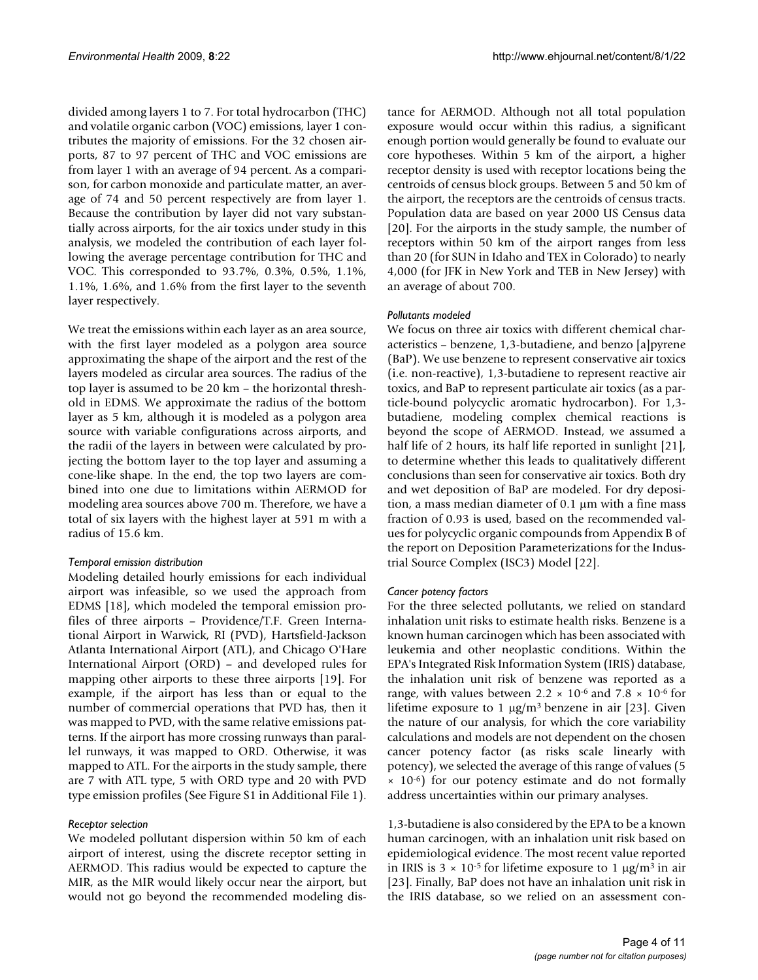divided among layers 1 to 7. For total hydrocarbon (THC) and volatile organic carbon (VOC) emissions, layer 1 contributes the majority of emissions. For the 32 chosen airports, 87 to 97 percent of THC and VOC emissions are from layer 1 with an average of 94 percent. As a comparison, for carbon monoxide and particulate matter, an average of 74 and 50 percent respectively are from layer 1. Because the contribution by layer did not vary substantially across airports, for the air toxics under study in this analysis, we modeled the contribution of each layer following the average percentage contribution for THC and VOC. This corresponded to 93.7%, 0.3%, 0.5%, 1.1%, 1.1%, 1.6%, and 1.6% from the first layer to the seventh layer respectively.

We treat the emissions within each layer as an area source, with the first layer modeled as a polygon area source approximating the shape of the airport and the rest of the layers modeled as circular area sources. The radius of the top layer is assumed to be 20 km – the horizontal threshold in EDMS. We approximate the radius of the bottom layer as 5 km, although it is modeled as a polygon area source with variable configurations across airports, and the radii of the layers in between were calculated by projecting the bottom layer to the top layer and assuming a cone-like shape. In the end, the top two layers are combined into one due to limitations within AERMOD for modeling area sources above 700 m. Therefore, we have a total of six layers with the highest layer at 591 m with a radius of 15.6 km.

#### *Temporal emission distribution*

Modeling detailed hourly emissions for each individual airport was infeasible, so we used the approach from EDMS [18], which modeled the temporal emission profiles of three airports – Providence/T.F. Green International Airport in Warwick, RI (PVD), Hartsfield-Jackson Atlanta International Airport (ATL), and Chicago O'Hare International Airport (ORD) – and developed rules for mapping other airports to these three airports [19]. For example, if the airport has less than or equal to the number of commercial operations that PVD has, then it was mapped to PVD, with the same relative emissions patterns. If the airport has more crossing runways than parallel runways, it was mapped to ORD. Otherwise, it was mapped to ATL. For the airports in the study sample, there are 7 with ATL type, 5 with ORD type and 20 with PVD type emission profiles (See Figure S1 in Additional File 1).

#### *Receptor selection*

We modeled pollutant dispersion within 50 km of each airport of interest, using the discrete receptor setting in AERMOD. This radius would be expected to capture the MIR, as the MIR would likely occur near the airport, but would not go beyond the recommended modeling distance for AERMOD. Although not all total population exposure would occur within this radius, a significant enough portion would generally be found to evaluate our core hypotheses. Within 5 km of the airport, a higher receptor density is used with receptor locations being the centroids of census block groups. Between 5 and 50 km of the airport, the receptors are the centroids of census tracts. Population data are based on year 2000 US Census data [20]. For the airports in the study sample, the number of receptors within 50 km of the airport ranges from less than 20 (for SUN in Idaho and TEX in Colorado) to nearly 4,000 (for JFK in New York and TEB in New Jersey) with an average of about 700.

#### *Pollutants modeled*

We focus on three air toxics with different chemical characteristics – benzene, 1,3-butadiene, and benzo [a]pyrene (BaP). We use benzene to represent conservative air toxics (i.e. non-reactive), 1,3-butadiene to represent reactive air toxics, and BaP to represent particulate air toxics (as a particle-bound polycyclic aromatic hydrocarbon). For 1,3 butadiene, modeling complex chemical reactions is beyond the scope of AERMOD. Instead, we assumed a half life of 2 hours, its half life reported in sunlight [21], to determine whether this leads to qualitatively different conclusions than seen for conservative air toxics. Both dry and wet deposition of BaP are modeled. For dry deposition, a mass median diameter of 0.1 μm with a fine mass fraction of 0.93 is used, based on the recommended values for polycyclic organic compounds from Appendix B of the report on Deposition Parameterizations for the Industrial Source Complex (ISC3) Model [22].

#### *Cancer potency factors*

For the three selected pollutants, we relied on standard inhalation unit risks to estimate health risks. Benzene is a known human carcinogen which has been associated with leukemia and other neoplastic conditions. Within the EPA's Integrated Risk Information System (IRIS) database, the inhalation unit risk of benzene was reported as a range, with values between 2.2  $\times$  10<sup>-6</sup> and 7.8  $\times$  10<sup>-6</sup> for lifetime exposure to 1  $\mu$ g/m<sup>3</sup> benzene in air [23]. Given the nature of our analysis, for which the core variability calculations and models are not dependent on the chosen cancer potency factor (as risks scale linearly with potency), we selected the average of this range of values (5  $\times$  10<sup>-6</sup>) for our potency estimate and do not formally address uncertainties within our primary analyses.

1,3-butadiene is also considered by the EPA to be a known human carcinogen, with an inhalation unit risk based on epidemiological evidence. The most recent value reported in IRIS is  $3 \times 10^{-5}$  for lifetime exposure to 1  $\mu$ g/m<sup>3</sup> in air [23]. Finally, BaP does not have an inhalation unit risk in the IRIS database, so we relied on an assessment con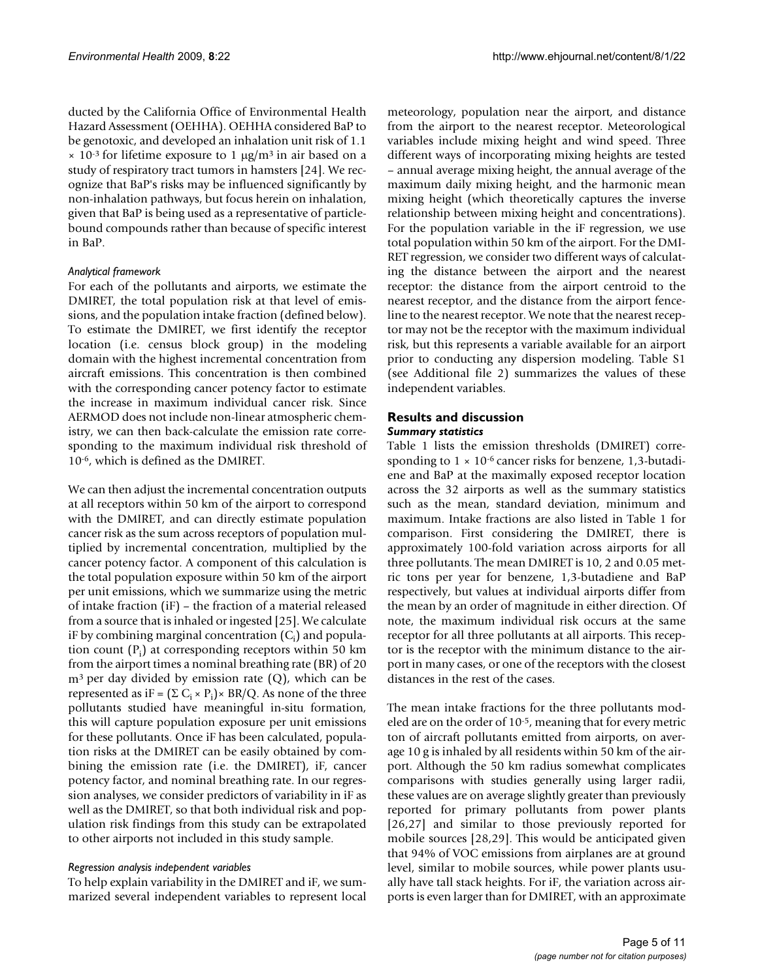ducted by the California Office of Environmental Health Hazard Assessment (OEHHA). OEHHA considered BaP to be genotoxic, and developed an inhalation unit risk of 1.1  $\times$  10<sup>-3</sup> for lifetime exposure to 1  $\mu$ g/m<sup>3</sup> in air based on a study of respiratory tract tumors in hamsters [24]. We recognize that BaP's risks may be influenced significantly by non-inhalation pathways, but focus herein on inhalation, given that BaP is being used as a representative of particlebound compounds rather than because of specific interest in BaP.

#### *Analytical framework*

For each of the pollutants and airports, we estimate the DMIRET, the total population risk at that level of emissions, and the population intake fraction (defined below). To estimate the DMIRET, we first identify the receptor location (i.e. census block group) in the modeling domain with the highest incremental concentration from aircraft emissions. This concentration is then combined with the corresponding cancer potency factor to estimate the increase in maximum individual cancer risk. Since AERMOD does not include non-linear atmospheric chemistry, we can then back-calculate the emission rate corresponding to the maximum individual risk threshold of 10-6, which is defined as the DMIRET.

We can then adjust the incremental concentration outputs at all receptors within 50 km of the airport to correspond with the DMIRET, and can directly estimate population cancer risk as the sum across receptors of population multiplied by incremental concentration, multiplied by the cancer potency factor. A component of this calculation is the total population exposure within 50 km of the airport per unit emissions, which we summarize using the metric of intake fraction (iF) – the fraction of a material released from a source that is inhaled or ingested [25]. We calculate iF by combining marginal concentration  $(C_i)$  and population count  $(P_i)$  at corresponding receptors within 50 km from the airport times a nominal breathing rate (BR) of 20  $m<sup>3</sup>$  per day divided by emission rate (Q), which can be represented as iF =  $(\Sigma C_i \times P_i) \times BR/Q$ . As none of the three pollutants studied have meaningful in-situ formation, this will capture population exposure per unit emissions for these pollutants. Once iF has been calculated, population risks at the DMIRET can be easily obtained by combining the emission rate (i.e. the DMIRET), iF, cancer potency factor, and nominal breathing rate. In our regression analyses, we consider predictors of variability in iF as well as the DMIRET, so that both individual risk and population risk findings from this study can be extrapolated to other airports not included in this study sample.

# *Regression analysis independent variables*

To help explain variability in the DMIRET and iF, we summarized several independent variables to represent local

meteorology, population near the airport, and distance from the airport to the nearest receptor. Meteorological variables include mixing height and wind speed. Three different ways of incorporating mixing heights are tested – annual average mixing height, the annual average of the maximum daily mixing height, and the harmonic mean mixing height (which theoretically captures the inverse relationship between mixing height and concentrations). For the population variable in the iF regression, we use total population within 50 km of the airport. For the DMI-RET regression, we consider two different ways of calculating the distance between the airport and the nearest receptor: the distance from the airport centroid to the nearest receptor, and the distance from the airport fenceline to the nearest receptor. We note that the nearest receptor may not be the receptor with the maximum individual risk, but this represents a variable available for an airport prior to conducting any dispersion modeling. Table S1 (see Additional file 2) summarizes the values of these independent variables.

# **Results and discussion** *Summary statistics*

Table 1 lists the emission thresholds (DMIRET) corresponding to  $1 \times 10^{-6}$  cancer risks for benzene, 1,3-butadiene and BaP at the maximally exposed receptor location across the 32 airports as well as the summary statistics such as the mean, standard deviation, minimum and maximum. Intake fractions are also listed in Table 1 for comparison. First considering the DMIRET, there is approximately 100-fold variation across airports for all three pollutants. The mean DMIRET is 10, 2 and 0.05 metric tons per year for benzene, 1,3-butadiene and BaP respectively, but values at individual airports differ from the mean by an order of magnitude in either direction. Of note, the maximum individual risk occurs at the same receptor for all three pollutants at all airports. This receptor is the receptor with the minimum distance to the airport in many cases, or one of the receptors with the closest distances in the rest of the cases.

The mean intake fractions for the three pollutants modeled are on the order of 10-5, meaning that for every metric ton of aircraft pollutants emitted from airports, on average 10 g is inhaled by all residents within 50 km of the airport. Although the 50 km radius somewhat complicates comparisons with studies generally using larger radii, these values are on average slightly greater than previously reported for primary pollutants from power plants [26,27] and similar to those previously reported for mobile sources [28,29]. This would be anticipated given that 94% of VOC emissions from airplanes are at ground level, similar to mobile sources, while power plants usually have tall stack heights. For iF, the variation across airports is even larger than for DMIRET, with an approximate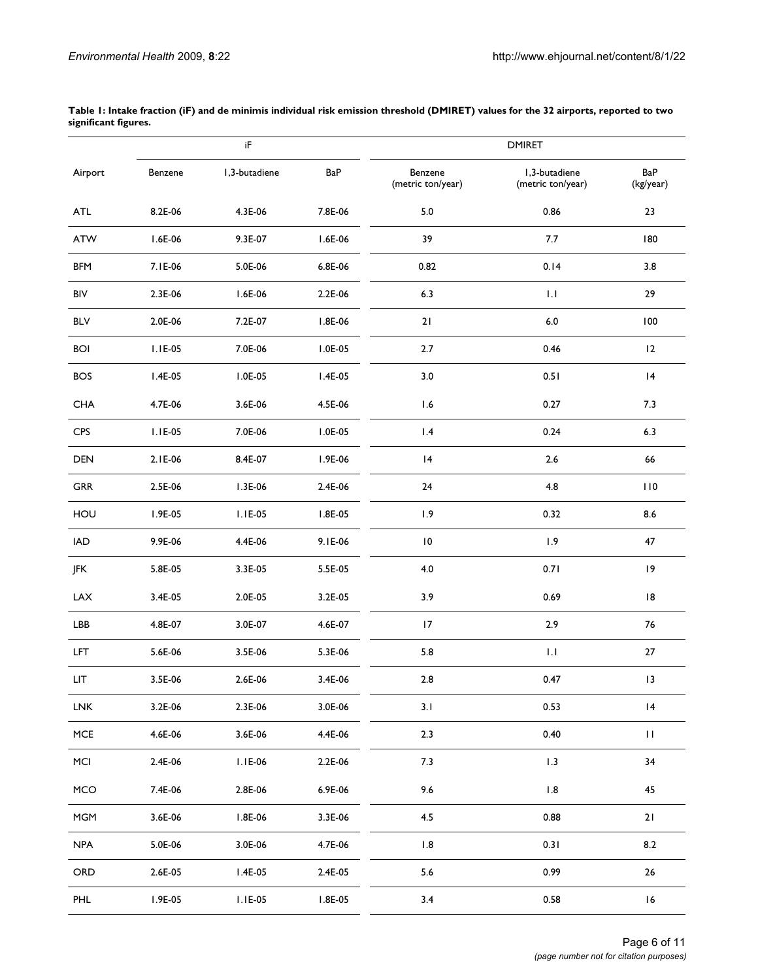|                             |           | iF            |           | <b>DMIRET</b>                |                                    |                    |
|-----------------------------|-----------|---------------|-----------|------------------------------|------------------------------------|--------------------|
| Airport                     | Benzene   | I,3-butadiene | BaP       | Benzene<br>(metric ton/year) | I,3-butadiene<br>(metric ton/year) | BaP<br>(kg/year)   |
| ATL                         | 8.2E-06   | 4.3E-06       | 7.8E-06   | 5.0                          | 0.86                               | 23                 |
| ATW                         | I.6E-06   | 9.3E-07       | $1.6E-06$ | 39                           | 7.7                                | 180                |
| <b>BFM</b>                  | 7.1E-06   | 5.0E-06       | 6.8E-06   | 0.82                         | 0.14                               | 3.8                |
| BIV                         | 2.3E-06   | I.6E-06       | 2.2E-06   | 6.3                          | $\mathsf{L}\mathsf{I}$             | 29                 |
| <b>BLV</b>                  | 2.0E-06   | 7.2E-07       | I.8E-06   | 21                           | $6.0\,$                            | 100                |
| <b>BOI</b>                  | $I.IE-05$ | 7.0E-06       | I.0E-05   | 2.7                          | 0.46                               | 12                 |
| <b>BOS</b>                  | $I.4E-05$ | I.0E-05       | $1.4E-05$ | 3.0                          | 0.51                               | 4                  |
| <b>CHA</b>                  | 4.7E-06   | 3.6E-06       | 4.5E-06   | 1.6                          | 0.27                               | 7.3                |
| CPS                         | $I.IE-05$ | 7.0E-06       | $1.0E-05$ | 1.4                          | 0.24                               | 6.3                |
| DEN                         | 2.1E-06   | 8.4E-07       | I.9E-06   | 4                            | 2.6                                | 66                 |
| <b>GRR</b>                  | 2.5E-06   | $1.3E-06$     | 2.4E-06   | 24                           | 4.8                                | 110                |
| HOU                         | I.9E-05   | $I.IE-05$     | I.8E-05   | 1.9                          | 0.32                               | 8.6                |
| <b>IAD</b>                  | 9.9E-06   | 4.4E-06       | 9.1E-06   | $\overline{10}$              | 1.9                                | 47                 |
| JFK                         | 5.8E-05   | 3.3E-05       | $5.5E-05$ | 4.0                          | 0.71                               | 9                  |
| $\ensuremath{\mathsf{LAX}}$ | 3.4E-05   | 2.0E-05       | 3.2E-05   | 3.9                          | 0.69                               | $\,$ l $\,$ 8 $\,$ |
| LBB                         | 4.8E-07   | 3.0E-07       | 4.6E-07   | 17                           | 2.9                                | $76\,$             |
| <b>LFT</b>                  | 5.6E-06   | 3.5E-06       | 5.3E-06   | 5.8                          | $\mathsf{L}\mathsf{I}$             | 27                 |
| LIT                         | 3.5E-06   | 2.6E-06       | 3.4E-06   | 2.8                          | 0.47                               | 13                 |
| <b>LNK</b>                  | 3.2E-06   | 2.3E-06       | 3.0E-06   | 3.1                          | 0.53                               | 4                  |
| ${\sf MCE}$                 | 4.6E-06   | 3.6E-06       | 4.4E-06   | 2.3                          | 0.40                               | $\mathbf{H}% _{0}$ |
| MCI                         | 2.4E-06   | $I.IE-06$     | 2.2E-06   | 7.3                          | 1.3                                | 34                 |
| <b>MCO</b>                  | 7.4E-06   | 2.8E-06       | 6.9E-06   | 9.6                          | 1.8                                | 45                 |
| <b>MGM</b>                  | 3.6E-06   | I.8E-06       | 3.3E-06   | 4.5                          | 0.88                               | 21                 |
| <b>NPA</b>                  | 5.0E-06   | 3.0E-06       | 4.7E-06   | 1.8                          | 0.31                               | 8.2                |
| ORD                         | 2.6E-05   | $1.4E-05$     | 2.4E-05   | 5.6                          | 0.99                               | 26                 |
| PHL                         | I.9E-05   | $I.IE-05$     | $1.8E-05$ | 3.4                          | 0.58                               | 16                 |

**Table 1: Intake fraction (iF) and de minimis individual risk emission threshold (DMIRET) values for the 32 airports, reported to two significant figures.**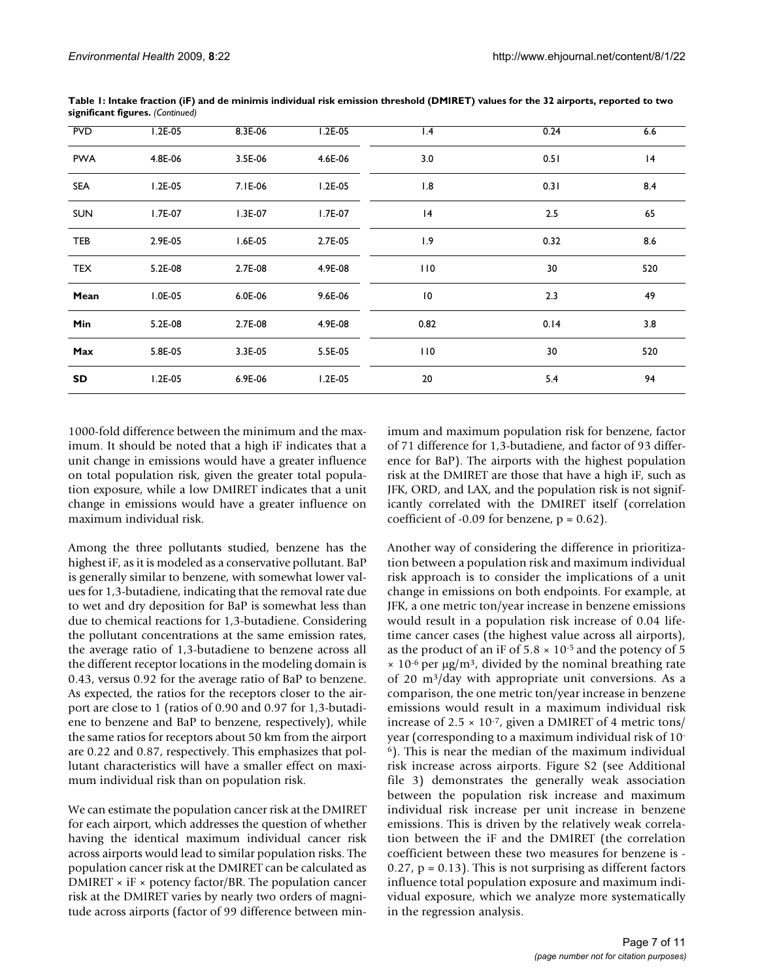| <b>PVD</b> | $1.2E-05$ | 8.3E-06    | 1.2E-05   | $\mathsf{I}$ .4 | 0.24 | 6.6 |
|------------|-----------|------------|-----------|-----------------|------|-----|
| <b>PWA</b> | 4.8E-06   | 3.5E-06    | 4.6E-06   | 3.0             | 0.51 | 4   |
| <b>SEA</b> | $1.2E-05$ | 7.1E-06    | $1.2E-05$ | 1.8             | 0.31 | 8.4 |
| <b>SUN</b> | I.7E-07   | $1.3E-07$  | $1.7E-07$ | 4               | 2.5  | 65  |
| TEB        | 2.9E-05   | $1.6E-0.5$ | 2.7E-05   | 1.9             | 0.32 | 8.6 |
| <b>TEX</b> | 5.2E-08   | 2.7E-08    | 4.9E-08   | 110             | 30   | 520 |
| Mean       | I.0E-05   | 6.0E-06    | 9.6E-06   | $\overline{10}$ | 2.3  | 49  |
| Min        | 5.2E-08   | 2.7E-08    | 4.9E-08   | 0.82            | 0.14 | 3.8 |
| Max        | 5.8E-05   | 3.3E-05    | 5.5E-05   | 110             | 30   | 520 |
| SD         | $1.2E-05$ | 6.9E-06    | $1.2E-05$ | 20              | 5.4  | 94  |

**Table 1: Intake fraction (iF) and de minimis individual risk emission threshold (DMIRET) values for the 32 airports, reported to two significant figures.** *(Continued)*

1000-fold difference between the minimum and the maximum. It should be noted that a high iF indicates that a unit change in emissions would have a greater influence on total population risk, given the greater total population exposure, while a low DMIRET indicates that a unit change in emissions would have a greater influence on maximum individual risk.

Among the three pollutants studied, benzene has the highest iF, as it is modeled as a conservative pollutant. BaP is generally similar to benzene, with somewhat lower values for 1,3-butadiene, indicating that the removal rate due to wet and dry deposition for BaP is somewhat less than due to chemical reactions for 1,3-butadiene. Considering the pollutant concentrations at the same emission rates, the average ratio of 1,3-butadiene to benzene across all the different receptor locations in the modeling domain is 0.43, versus 0.92 for the average ratio of BaP to benzene. As expected, the ratios for the receptors closer to the airport are close to 1 (ratios of 0.90 and 0.97 for 1,3-butadiene to benzene and BaP to benzene, respectively), while the same ratios for receptors about 50 km from the airport are 0.22 and 0.87, respectively. This emphasizes that pollutant characteristics will have a smaller effect on maximum individual risk than on population risk.

We can estimate the population cancer risk at the DMIRET for each airport, which addresses the question of whether having the identical maximum individual cancer risk across airports would lead to similar population risks. The population cancer risk at the DMIRET can be calculated as DMIRET  $\times$  iF  $\times$  potency factor/BR. The population cancer risk at the DMIRET varies by nearly two orders of magnitude across airports (factor of 99 difference between minimum and maximum population risk for benzene, factor of 71 difference for 1,3-butadiene, and factor of 93 difference for BaP). The airports with the highest population risk at the DMIRET are those that have a high iF, such as JFK, ORD, and LAX, and the population risk is not significantly correlated with the DMIRET itself (correlation coefficient of -0.09 for benzene,  $p = 0.62$ ).

Another way of considering the difference in prioritization between a population risk and maximum individual risk approach is to consider the implications of a unit change in emissions on both endpoints. For example, at JFK, a one metric ton/year increase in benzene emissions would result in a population risk increase of 0.04 lifetime cancer cases (the highest value across all airports), as the product of an iF of  $5.8 \times 10^{-5}$  and the potency of 5  $\times$  10<sup>-6</sup> per  $\mu$ g/m<sup>3</sup>, divided by the nominal breathing rate of 20 m3/day with appropriate unit conversions. As a comparison, the one metric ton/year increase in benzene emissions would result in a maximum individual risk increase of 2.5  $\times$  10<sup>-7</sup>, given a DMIRET of 4 metric tons/ year (corresponding to a maximum individual risk of 10- 6). This is near the median of the maximum individual risk increase across airports. Figure S2 (see Additional file 3) demonstrates the generally weak association between the population risk increase and maximum individual risk increase per unit increase in benzene emissions. This is driven by the relatively weak correlation between the iF and the DMIRET (the correlation coefficient between these two measures for benzene is -  $0.27$ ,  $p = 0.13$ ). This is not surprising as different factors influence total population exposure and maximum individual exposure, which we analyze more systematically in the regression analysis.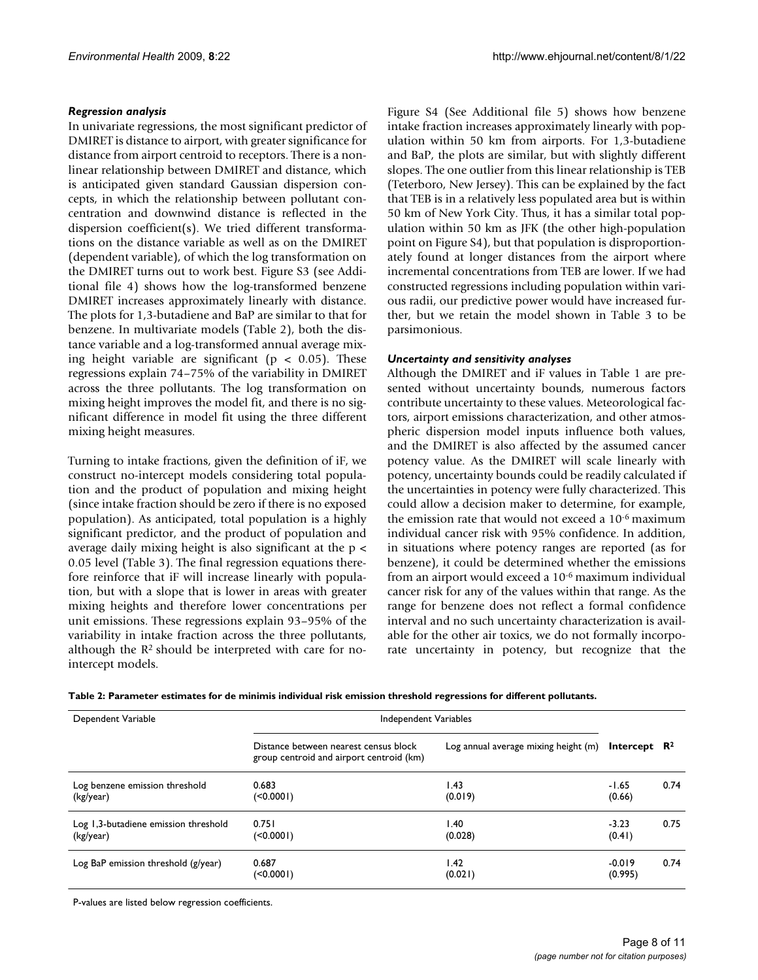# *Regression analysis*

In univariate regressions, the most significant predictor of DMIRET is distance to airport, with greater significance for distance from airport centroid to receptors. There is a nonlinear relationship between DMIRET and distance, which is anticipated given standard Gaussian dispersion concepts, in which the relationship between pollutant concentration and downwind distance is reflected in the dispersion coefficient(s). We tried different transformations on the distance variable as well as on the DMIRET (dependent variable), of which the log transformation on the DMIRET turns out to work best. Figure S3 (see Additional file 4) shows how the log-transformed benzene DMIRET increases approximately linearly with distance. The plots for 1,3-butadiene and BaP are similar to that for benzene. In multivariate models (Table 2), both the distance variable and a log-transformed annual average mixing height variable are significant ( $p < 0.05$ ). These regressions explain 74–75% of the variability in DMIRET across the three pollutants. The log transformation on mixing height improves the model fit, and there is no significant difference in model fit using the three different mixing height measures.

Turning to intake fractions, given the definition of iF, we construct no-intercept models considering total population and the product of population and mixing height (since intake fraction should be zero if there is no exposed population). As anticipated, total population is a highly significant predictor, and the product of population and average daily mixing height is also significant at the p < 0.05 level (Table 3). The final regression equations therefore reinforce that iF will increase linearly with population, but with a slope that is lower in areas with greater mixing heights and therefore lower concentrations per unit emissions. These regressions explain 93–95% of the variability in intake fraction across the three pollutants, although the  $R<sup>2</sup>$  should be interpreted with care for nointercept models.

Figure S4 (See Additional file 5) shows how benzene intake fraction increases approximately linearly with population within 50 km from airports. For 1,3-butadiene and BaP, the plots are similar, but with slightly different slopes. The one outlier from this linear relationship is TEB (Teterboro, New Jersey). This can be explained by the fact that TEB is in a relatively less populated area but is within 50 km of New York City. Thus, it has a similar total population within 50 km as JFK (the other high-population point on Figure S4), but that population is disproportionately found at longer distances from the airport where incremental concentrations from TEB are lower. If we had constructed regressions including population within various radii, our predictive power would have increased further, but we retain the model shown in Table 3 to be parsimonious.

#### *Uncertainty and sensitivity analyses*

Although the DMIRET and iF values in Table 1 are presented without uncertainty bounds, numerous factors contribute uncertainty to these values. Meteorological factors, airport emissions characterization, and other atmospheric dispersion model inputs influence both values, and the DMIRET is also affected by the assumed cancer potency value. As the DMIRET will scale linearly with potency, uncertainty bounds could be readily calculated if the uncertainties in potency were fully characterized. This could allow a decision maker to determine, for example, the emission rate that would not exceed a 10-6 maximum individual cancer risk with 95% confidence. In addition, in situations where potency ranges are reported (as for benzene), it could be determined whether the emissions from an airport would exceed a 10-6 maximum individual cancer risk for any of the values within that range. As the range for benzene does not reflect a formal confidence interval and no such uncertainty characterization is available for the other air toxics, we do not formally incorporate uncertainty in potency, but recognize that the

|  | Table 2: Parameter estimates for de minimis individual risk emission threshold regressions for different pollutants. |  |  |
|--|----------------------------------------------------------------------------------------------------------------------|--|--|
|  |                                                                                                                      |  |  |

| Dependent Variable                                | <b>Independent Variables</b>                                                      |                                      |                          |      |
|---------------------------------------------------|-----------------------------------------------------------------------------------|--------------------------------------|--------------------------|------|
|                                                   | Distance between nearest census block<br>group centroid and airport centroid (km) | Log annual average mixing height (m) | Intercept $\mathbb{R}^2$ |      |
| Log benzene emission threshold<br>(kg/year)       | 0.683<br>$($ < 0.000 l)                                                           | 1.43<br>(0.019)                      | $-1.65$<br>(0.66)        | 0.74 |
| Log 1,3-butadiene emission threshold<br>(kg/year) | 0.751<br>(                                                                        | 1.40<br>(0.028)                      | $-3.23$<br>(0.41)        | 0.75 |
| Log BaP emission threshold (g/year)               | 0.687<br>(                                                                        | 1.42<br>(0.021)                      | $-0.019$<br>(0.995)      | 0.74 |

P-values are listed below regression coefficients.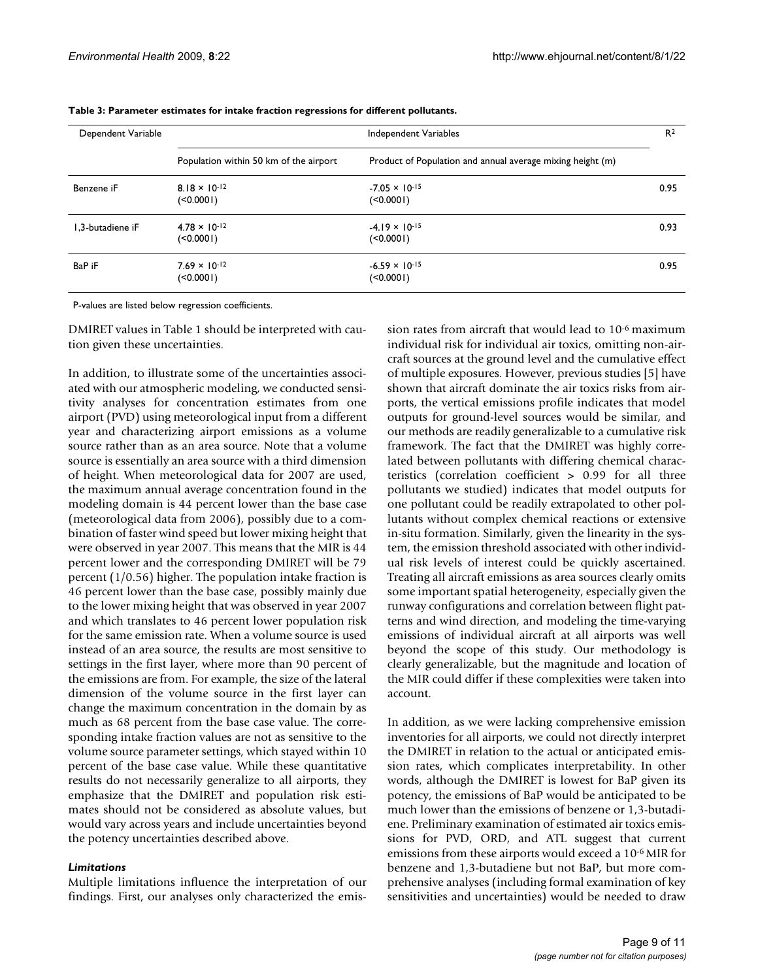| Dependent Variable | Independent Variables                  |                                                            |      |
|--------------------|----------------------------------------|------------------------------------------------------------|------|
|                    | Population within 50 km of the airport | Product of Population and annual average mixing height (m) |      |
| Benzene iF         | $8.18 \times 10^{-12}$<br>(<0.0001)    | $-7.05 \times 10^{-15}$<br>(                               | 0.95 |
| 1.3-butadiene iF   | $4.78 \times 10^{-12}$<br>(<0.0001)    | $-4.19 \times 10^{-15}$<br>(                               | 0.93 |
| BaP iF             | $7.69 \times 10^{-12}$<br>(50.0001)    | $-6.59 \times 10^{-15}$<br>$($ < 0.000 l)                  | 0.95 |

**Table 3: Parameter estimates for intake fraction regressions for different pollutants.**

P-values are listed below regression coefficients.

DMIRET values in Table 1 should be interpreted with caution given these uncertainties.

In addition, to illustrate some of the uncertainties associated with our atmospheric modeling, we conducted sensitivity analyses for concentration estimates from one airport (PVD) using meteorological input from a different year and characterizing airport emissions as a volume source rather than as an area source. Note that a volume source is essentially an area source with a third dimension of height. When meteorological data for 2007 are used, the maximum annual average concentration found in the modeling domain is 44 percent lower than the base case (meteorological data from 2006), possibly due to a combination of faster wind speed but lower mixing height that were observed in year 2007. This means that the MIR is 44 percent lower and the corresponding DMIRET will be 79 percent (1/0.56) higher. The population intake fraction is 46 percent lower than the base case, possibly mainly due to the lower mixing height that was observed in year 2007 and which translates to 46 percent lower population risk for the same emission rate. When a volume source is used instead of an area source, the results are most sensitive to settings in the first layer, where more than 90 percent of the emissions are from. For example, the size of the lateral dimension of the volume source in the first layer can change the maximum concentration in the domain by as much as 68 percent from the base case value. The corresponding intake fraction values are not as sensitive to the volume source parameter settings, which stayed within 10 percent of the base case value. While these quantitative results do not necessarily generalize to all airports, they emphasize that the DMIRET and population risk estimates should not be considered as absolute values, but would vary across years and include uncertainties beyond the potency uncertainties described above.

#### *Limitations*

Multiple limitations influence the interpretation of our findings. First, our analyses only characterized the emission rates from aircraft that would lead to 10-6 maximum individual risk for individual air toxics, omitting non-aircraft sources at the ground level and the cumulative effect of multiple exposures. However, previous studies [5] have shown that aircraft dominate the air toxics risks from airports, the vertical emissions profile indicates that model outputs for ground-level sources would be similar, and our methods are readily generalizable to a cumulative risk framework. The fact that the DMIRET was highly correlated between pollutants with differing chemical characteristics (correlation coefficient > 0.99 for all three pollutants we studied) indicates that model outputs for one pollutant could be readily extrapolated to other pollutants without complex chemical reactions or extensive in-situ formation. Similarly, given the linearity in the system, the emission threshold associated with other individual risk levels of interest could be quickly ascertained. Treating all aircraft emissions as area sources clearly omits some important spatial heterogeneity, especially given the runway configurations and correlation between flight patterns and wind direction, and modeling the time-varying emissions of individual aircraft at all airports was well beyond the scope of this study. Our methodology is clearly generalizable, but the magnitude and location of the MIR could differ if these complexities were taken into account.

In addition, as we were lacking comprehensive emission inventories for all airports, we could not directly interpret the DMIRET in relation to the actual or anticipated emission rates, which complicates interpretability. In other words, although the DMIRET is lowest for BaP given its potency, the emissions of BaP would be anticipated to be much lower than the emissions of benzene or 1,3-butadiene. Preliminary examination of estimated air toxics emissions for PVD, ORD, and ATL suggest that current emissions from these airports would exceed a 10-6 MIR for benzene and 1,3-butadiene but not BaP, but more comprehensive analyses (including formal examination of key sensitivities and uncertainties) would be needed to draw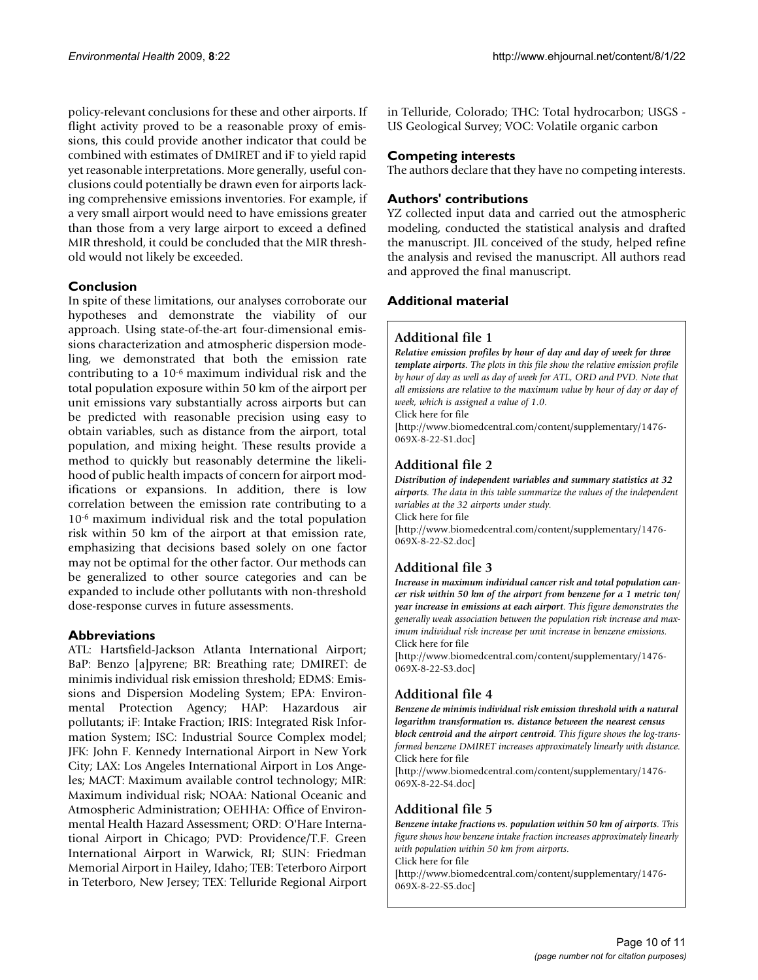policy-relevant conclusions for these and other airports. If flight activity proved to be a reasonable proxy of emissions, this could provide another indicator that could be combined with estimates of DMIRET and iF to yield rapid yet reasonable interpretations. More generally, useful conclusions could potentially be drawn even for airports lacking comprehensive emissions inventories. For example, if a very small airport would need to have emissions greater than those from a very large airport to exceed a defined MIR threshold, it could be concluded that the MIR threshold would not likely be exceeded.

# **Conclusion**

In spite of these limitations, our analyses corroborate our hypotheses and demonstrate the viability of our approach. Using state-of-the-art four-dimensional emissions characterization and atmospheric dispersion modeling, we demonstrated that both the emission rate contributing to a 10-6 maximum individual risk and the total population exposure within 50 km of the airport per unit emissions vary substantially across airports but can be predicted with reasonable precision using easy to obtain variables, such as distance from the airport, total population, and mixing height. These results provide a method to quickly but reasonably determine the likelihood of public health impacts of concern for airport modifications or expansions. In addition, there is low correlation between the emission rate contributing to a 10-6 maximum individual risk and the total population risk within 50 km of the airport at that emission rate, emphasizing that decisions based solely on one factor may not be optimal for the other factor. Our methods can be generalized to other source categories and can be expanded to include other pollutants with non-threshold dose-response curves in future assessments.

# **Abbreviations**

ATL: Hartsfield-Jackson Atlanta International Airport; BaP: Benzo [a]pyrene; BR: Breathing rate; DMIRET: de minimis individual risk emission threshold; EDMS: Emissions and Dispersion Modeling System; EPA: Environmental Protection Agency; HAP: Hazardous air pollutants; iF: Intake Fraction; IRIS: Integrated Risk Information System; ISC: Industrial Source Complex model; JFK: John F. Kennedy International Airport in New York City; LAX: Los Angeles International Airport in Los Angeles; MACT: Maximum available control technology; MIR: Maximum individual risk; NOAA: National Oceanic and Atmospheric Administration; OEHHA: Office of Environmental Health Hazard Assessment; ORD: O'Hare International Airport in Chicago; PVD: Providence/T.F. Green International Airport in Warwick, RI; SUN: Friedman Memorial Airport in Hailey, Idaho; TEB: Teterboro Airport in Teterboro, New Jersey; TEX: Telluride Regional Airport in Telluride, Colorado; THC: Total hydrocarbon; USGS - US Geological Survey; VOC: Volatile organic carbon

# **Competing interests**

The authors declare that they have no competing interests.

# **Authors' contributions**

YZ collected input data and carried out the atmospheric modeling, conducted the statistical analysis and drafted the manuscript. JIL conceived of the study, helped refine the analysis and revised the manuscript. All authors read and approved the final manuscript.

# **Additional material**

# **Additional file 1**

*Relative emission profiles by hour of day and day of week for three template airports. The plots in this file show the relative emission profile by hour of day as well as day of week for ATL, ORD and PVD. Note that all emissions are relative to the maximum value by hour of day or day of week, which is assigned a value of 1.0.*

Click here for file

[\[http://www.biomedcentral.com/content/supplementary/1476-](http://www.biomedcentral.com/content/supplementary/1476-069X-8-22-S1.doc) 069X-8-22-S1.doc]

# **Additional file 2**

*Distribution of independent variables and summary statistics at 32 airports. The data in this table summarize the values of the independent variables at the 32 airports under study.* Click here for file [\[http://www.biomedcentral.com/content/supplementary/1476-](http://www.biomedcentral.com/content/supplementary/1476-069X-8-22-S2.doc) 069X-8-22-S2.doc]

# **Additional file 3**

*Increase in maximum individual cancer risk and total population cancer risk within 50 km of the airport from benzene for a 1 metric ton/ year increase in emissions at each airport. This figure demonstrates the generally weak association between the population risk increase and maximum individual risk increase per unit increase in benzene emissions.* Click here for file

[\[http://www.biomedcentral.com/content/supplementary/1476-](http://www.biomedcentral.com/content/supplementary/1476-069X-8-22-S3.doc) 069X-8-22-S3.doc]

# **Additional file 4**

*Benzene de minimis individual risk emission threshold with a natural logarithm transformation vs. distance between the nearest census block centroid and the airport centroid. This figure shows the log-transformed benzene DMIRET increases approximately linearly with distance.* Click here for file

[\[http://www.biomedcentral.com/content/supplementary/1476-](http://www.biomedcentral.com/content/supplementary/1476-069X-8-22-S4.doc) 069X-8-22-S4.doc]

# **Additional file 5**

*Benzene intake fractions vs. population within 50 km of airports. This figure shows how benzene intake fraction increases approximately linearly with population within 50 km from airports.* Click here for file [\[http://www.biomedcentral.com/content/supplementary/1476-](http://www.biomedcentral.com/content/supplementary/1476-069X-8-22-S5.doc) 069X-8-22-S5.doc]